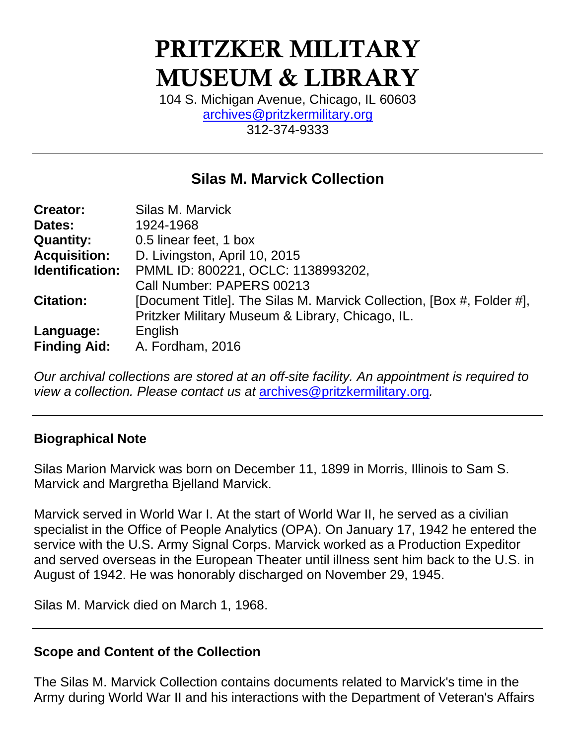# PRITZKER MILITARY MUSEUM & LIBRARY

104 S. Michigan Avenue, Chicago, IL 60603 [archives@pritzkermilitary.org](mailto:archives@pritzkermilitary.org) 312-374-9333

# **Silas M. Marvick Collection**

| <b>Creator:</b>     | Silas M. Marvick                                                      |
|---------------------|-----------------------------------------------------------------------|
| Dates:              | 1924-1968                                                             |
| <b>Quantity:</b>    | 0.5 linear feet, 1 box                                                |
| <b>Acquisition:</b> | D. Livingston, April 10, 2015                                         |
| Identification:     | PMML ID: 800221, OCLC: 1138993202,                                    |
|                     | Call Number: PAPERS 00213                                             |
| <b>Citation:</b>    | [Document Title]. The Silas M. Marvick Collection, [Box #, Folder #], |
|                     | Pritzker Military Museum & Library, Chicago, IL.                      |
| Language:           | English                                                               |
| <b>Finding Aid:</b> | A. Fordham, 2016                                                      |

*Our archival collections are stored at an off-site facility. An appointment is required to view a collection. Please contact us at* [archives@pritzkermilitary.org](mailto:archives@pritzkermilitary.org)*.*

# **Biographical Note**

Silas Marion Marvick was born on December 11, 1899 in Morris, Illinois to Sam S. Marvick and Margretha Bjelland Marvick.

Marvick served in World War I. At the start of World War II, he served as a civilian specialist in the Office of People Analytics (OPA). On January 17, 1942 he entered the service with the U.S. Army Signal Corps. Marvick worked as a Production Expeditor and served overseas in the European Theater until illness sent him back to the U.S. in August of 1942. He was honorably discharged on November 29, 1945.

Silas M. Marvick died on March 1, 1968.

# **Scope and Content of the Collection**

The Silas M. Marvick Collection contains documents related to Marvick's time in the Army during World War II and his interactions with the Department of Veteran's Affairs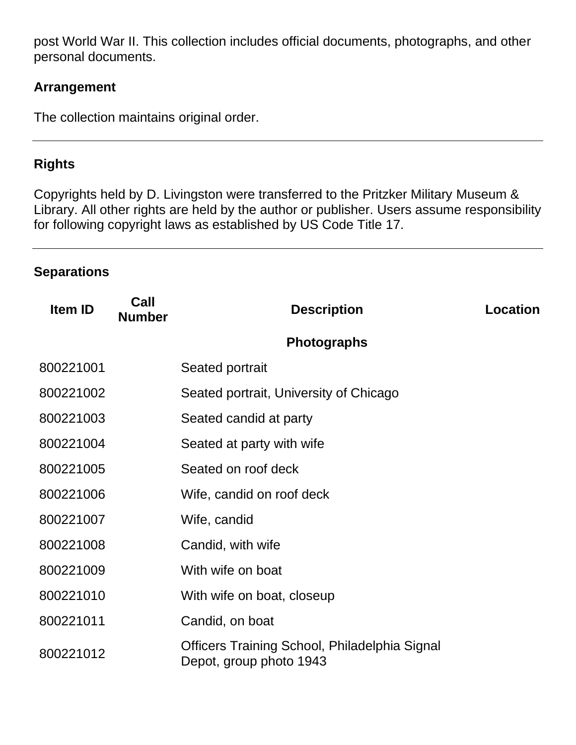post World War II. This collection includes official documents, photographs, and other personal documents.

# **Arrangement**

The collection maintains original order.

# **Rights**

Copyrights held by D. Livingston were transferred to the Pritzker Military Museum & Library. All other rights are held by the author or publisher. Users assume responsibility for following copyright laws as established by US Code Title 17.

### **Separations**

| <b>Item ID</b> | Call<br><b>Number</b> | <b>Description</b>                                                       | Location |
|----------------|-----------------------|--------------------------------------------------------------------------|----------|
|                |                       | <b>Photographs</b>                                                       |          |
| 800221001      |                       | Seated portrait                                                          |          |
| 800221002      |                       | Seated portrait, University of Chicago                                   |          |
| 800221003      |                       | Seated candid at party                                                   |          |
| 800221004      |                       | Seated at party with wife                                                |          |
| 800221005      |                       | Seated on roof deck                                                      |          |
| 800221006      |                       | Wife, candid on roof deck                                                |          |
| 800221007      |                       | Wife, candid                                                             |          |
| 800221008      |                       | Candid, with wife                                                        |          |
| 800221009      |                       | With wife on boat                                                        |          |
| 800221010      |                       | With wife on boat, closeup                                               |          |
| 800221011      |                       | Candid, on boat                                                          |          |
| 800221012      |                       | Officers Training School, Philadelphia Signal<br>Depot, group photo 1943 |          |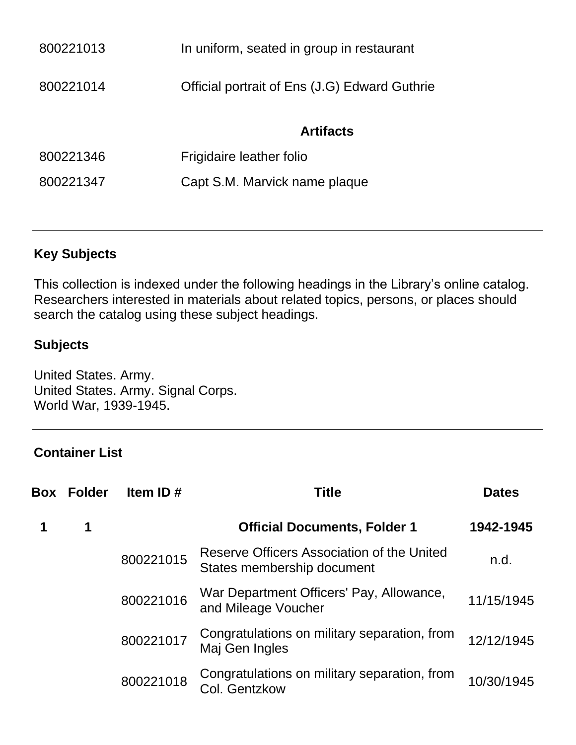| 800221013 | In uniform, seated in group in restaurant     |
|-----------|-----------------------------------------------|
| 800221014 | Official portrait of Ens (J.G) Edward Guthrie |
|           | <b>Artifacts</b>                              |
| 800221346 | Frigidaire leather folio                      |
| 800221347 | Capt S.M. Marvick name plaque                 |
|           |                                               |

# **Key Subjects**

This collection is indexed under the following headings in the Library's online catalog. Researchers interested in materials about related topics, persons, or places should search the catalog using these subject headings.

### **Subjects**

United States. Army. United States. Army. Signal Corps. World War, 1939-1945.

### **Container List**

| <b>Box Folder</b> | Item ID $#$ | Title                                                                    | <b>Dates</b> |
|-------------------|-------------|--------------------------------------------------------------------------|--------------|
| 1                 |             | <b>Official Documents, Folder 1</b>                                      | 1942-1945    |
|                   | 800221015   | Reserve Officers Association of the United<br>States membership document | n.d.         |
|                   | 800221016   | War Department Officers' Pay, Allowance,<br>and Mileage Voucher          | 11/15/1945   |
|                   | 800221017   | Congratulations on military separation, from<br>Maj Gen Ingles           | 12/12/1945   |
|                   | 800221018   | Congratulations on military separation, from<br><b>Col. Gentzkow</b>     | 10/30/1945   |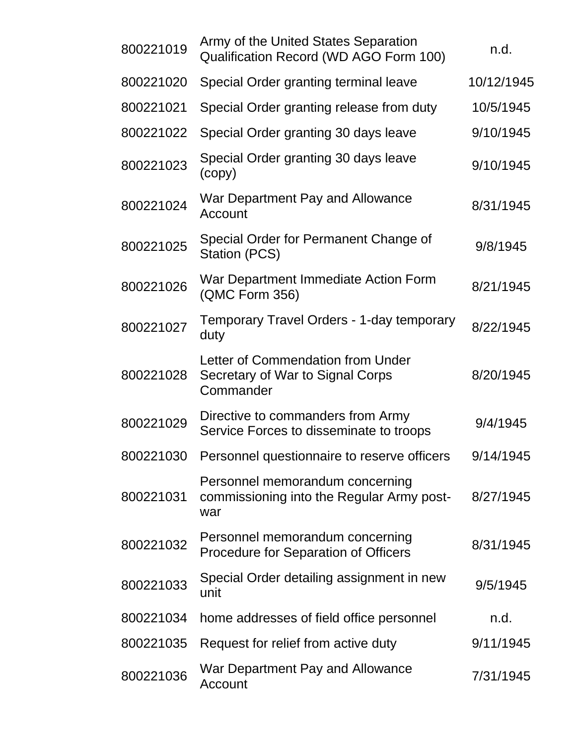| 800221019 | Army of the United States Separation<br>Qualification Record (WD AGO Form 100)      | n.d.       |
|-----------|-------------------------------------------------------------------------------------|------------|
| 800221020 | Special Order granting terminal leave                                               | 10/12/1945 |
| 800221021 | Special Order granting release from duty                                            | 10/5/1945  |
| 800221022 | Special Order granting 30 days leave                                                | 9/10/1945  |
| 800221023 | Special Order granting 30 days leave<br>(copy)                                      | 9/10/1945  |
| 800221024 | War Department Pay and Allowance<br>Account                                         | 8/31/1945  |
| 800221025 | Special Order for Permanent Change of<br>Station (PCS)                              | 9/8/1945   |
| 800221026 | War Department Immediate Action Form<br>(QMC Form 356)                              | 8/21/1945  |
| 800221027 | Temporary Travel Orders - 1-day temporary<br>duty                                   | 8/22/1945  |
| 800221028 | Letter of Commendation from Under<br>Secretary of War to Signal Corps<br>Commander  | 8/20/1945  |
| 800221029 | Directive to commanders from Army<br>Service Forces to disseminate to troops        | 9/4/1945   |
|           | 800221030 Personnel questionnaire to reserve officers                               | 9/14/1945  |
| 800221031 | Personnel memorandum concerning<br>commissioning into the Regular Army post-<br>war | 8/27/1945  |
| 800221032 | Personnel memorandum concerning<br><b>Procedure for Separation of Officers</b>      | 8/31/1945  |
| 800221033 | Special Order detailing assignment in new<br>unit                                   | 9/5/1945   |
| 800221034 | home addresses of field office personnel                                            | n.d.       |
| 800221035 | Request for relief from active duty                                                 | 9/11/1945  |
| 800221036 | War Department Pay and Allowance<br>Account                                         | 7/31/1945  |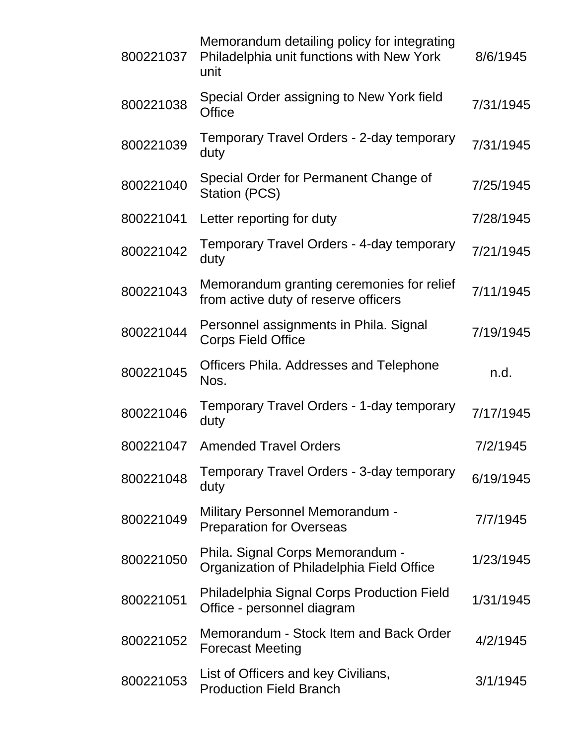| 800221037 | Memorandum detailing policy for integrating<br>Philadelphia unit functions with New York<br>unit | 8/6/1945  |
|-----------|--------------------------------------------------------------------------------------------------|-----------|
| 800221038 | Special Order assigning to New York field<br><b>Office</b>                                       | 7/31/1945 |
| 800221039 | Temporary Travel Orders - 2-day temporary<br>duty                                                | 7/31/1945 |
| 800221040 | Special Order for Permanent Change of<br>Station (PCS)                                           | 7/25/1945 |
| 800221041 | Letter reporting for duty                                                                        | 7/28/1945 |
| 800221042 | Temporary Travel Orders - 4-day temporary<br>duty                                                | 7/21/1945 |
| 800221043 | Memorandum granting ceremonies for relief<br>from active duty of reserve officers                | 7/11/1945 |
| 800221044 | Personnel assignments in Phila. Signal<br><b>Corps Field Office</b>                              | 7/19/1945 |
| 800221045 | Officers Phila. Addresses and Telephone<br>Nos.                                                  | n.d.      |
| 800221046 | Temporary Travel Orders - 1-day temporary<br>duty                                                | 7/17/1945 |
| 800221047 | <b>Amended Travel Orders</b>                                                                     | 7/2/1945  |
| 800221048 | Temporary Travel Orders - 3-day temporary<br>duty                                                | 6/19/1945 |
| 800221049 | <b>Military Personnel Memorandum -</b><br><b>Preparation for Overseas</b>                        | 7/7/1945  |
| 800221050 | Phila. Signal Corps Memorandum -<br>Organization of Philadelphia Field Office                    | 1/23/1945 |
| 800221051 | Philadelphia Signal Corps Production Field<br>Office - personnel diagram                         | 1/31/1945 |
| 800221052 | Memorandum - Stock Item and Back Order<br><b>Forecast Meeting</b>                                | 4/2/1945  |
| 800221053 | List of Officers and key Civilians,<br><b>Production Field Branch</b>                            | 3/1/1945  |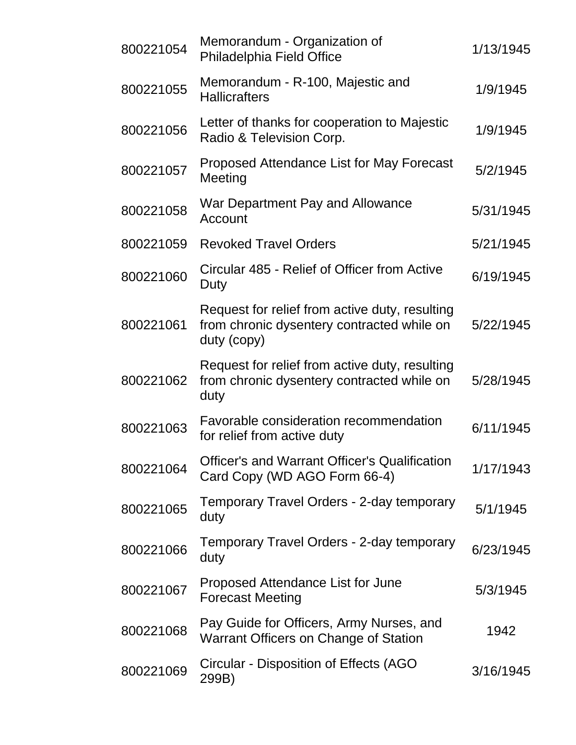| 800221054 | Memorandum - Organization of<br>Philadelphia Field Office                                                   | 1/13/1945 |
|-----------|-------------------------------------------------------------------------------------------------------------|-----------|
| 800221055 | Memorandum - R-100, Majestic and<br><b>Hallicrafters</b>                                                    | 1/9/1945  |
| 800221056 | Letter of thanks for cooperation to Majestic<br>Radio & Television Corp.                                    | 1/9/1945  |
| 800221057 | Proposed Attendance List for May Forecast<br>Meeting                                                        | 5/2/1945  |
| 800221058 | War Department Pay and Allowance<br>Account                                                                 | 5/31/1945 |
| 800221059 | <b>Revoked Travel Orders</b>                                                                                | 5/21/1945 |
| 800221060 | Circular 485 - Relief of Officer from Active<br>Duty                                                        | 6/19/1945 |
| 800221061 | Request for relief from active duty, resulting<br>from chronic dysentery contracted while on<br>duty (copy) | 5/22/1945 |
| 800221062 | Request for relief from active duty, resulting<br>from chronic dysentery contracted while on<br>duty        | 5/28/1945 |
| 800221063 | Favorable consideration recommendation<br>for relief from active duty                                       | 6/11/1945 |
| 800221064 | <b>Officer's and Warrant Officer's Qualification</b><br>Card Copy (WD AGO Form 66-4)                        | 1/17/1943 |
| 800221065 | Temporary Travel Orders - 2-day temporary<br>duty                                                           | 5/1/1945  |
| 800221066 | Temporary Travel Orders - 2-day temporary<br>duty                                                           | 6/23/1945 |
| 800221067 | Proposed Attendance List for June<br><b>Forecast Meeting</b>                                                | 5/3/1945  |
| 800221068 | Pay Guide for Officers, Army Nurses, and<br>Warrant Officers on Change of Station                           | 1942      |
| 800221069 | Circular - Disposition of Effects (AGO<br>299B)                                                             | 3/16/1945 |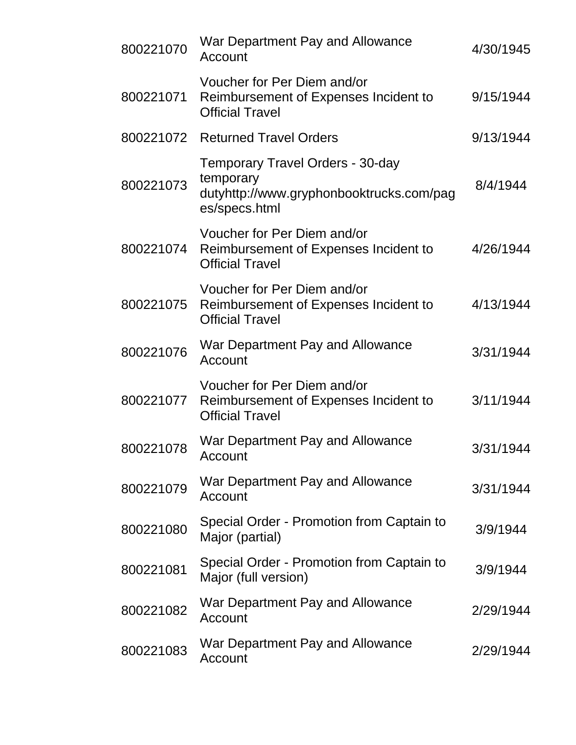| 800221070 | War Department Pay and Allowance<br>Account                                                                       | 4/30/1945 |
|-----------|-------------------------------------------------------------------------------------------------------------------|-----------|
| 800221071 | Voucher for Per Diem and/or<br>Reimbursement of Expenses Incident to<br><b>Official Travel</b>                    | 9/15/1944 |
| 800221072 | <b>Returned Travel Orders</b>                                                                                     | 9/13/1944 |
| 800221073 | <b>Temporary Travel Orders - 30-day</b><br>temporary<br>dutyhttp://www.gryphonbooktrucks.com/pag<br>es/specs.html | 8/4/1944  |
| 800221074 | Voucher for Per Diem and/or<br>Reimbursement of Expenses Incident to<br><b>Official Travel</b>                    | 4/26/1944 |
| 800221075 | Voucher for Per Diem and/or<br>Reimbursement of Expenses Incident to<br><b>Official Travel</b>                    | 4/13/1944 |
| 800221076 | War Department Pay and Allowance<br>Account                                                                       | 3/31/1944 |
| 800221077 | Voucher for Per Diem and/or<br>Reimbursement of Expenses Incident to<br><b>Official Travel</b>                    | 3/11/1944 |
| 800221078 | War Department Pay and Allowance<br>Account                                                                       | 3/31/1944 |
| 800221079 | War Department Pay and Allowance<br>Account                                                                       | 3/31/1944 |
| 800221080 | Special Order - Promotion from Captain to<br>Major (partial)                                                      | 3/9/1944  |
| 800221081 | Special Order - Promotion from Captain to<br>Major (full version)                                                 | 3/9/1944  |
| 800221082 | War Department Pay and Allowance<br>Account                                                                       | 2/29/1944 |
| 800221083 | War Department Pay and Allowance<br>Account                                                                       | 2/29/1944 |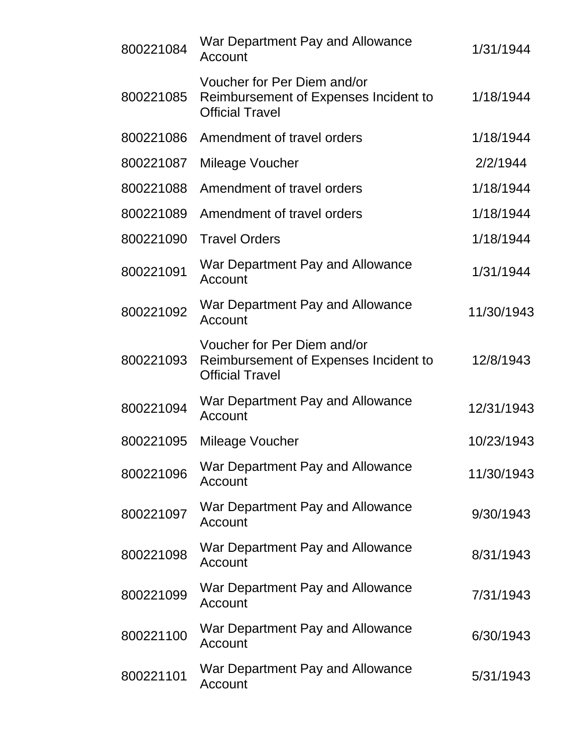| 800221084 | War Department Pay and Allowance<br>Account                                                    | 1/31/1944  |
|-----------|------------------------------------------------------------------------------------------------|------------|
| 800221085 | Voucher for Per Diem and/or<br>Reimbursement of Expenses Incident to<br><b>Official Travel</b> | 1/18/1944  |
| 800221086 | Amendment of travel orders                                                                     | 1/18/1944  |
| 800221087 | Mileage Voucher                                                                                | 2/2/1944   |
| 800221088 | Amendment of travel orders                                                                     | 1/18/1944  |
| 800221089 | Amendment of travel orders                                                                     | 1/18/1944  |
| 800221090 | <b>Travel Orders</b>                                                                           | 1/18/1944  |
| 800221091 | War Department Pay and Allowance<br>Account                                                    | 1/31/1944  |
| 800221092 | War Department Pay and Allowance<br>Account                                                    | 11/30/1943 |
| 800221093 | Voucher for Per Diem and/or<br>Reimbursement of Expenses Incident to<br><b>Official Travel</b> | 12/8/1943  |
| 800221094 | War Department Pay and Allowance<br>Account                                                    | 12/31/1943 |
| 800221095 | Mileage Voucher                                                                                | 10/23/1943 |
| 800221096 | War Department Pay and Allowance<br>Account                                                    | 11/30/1943 |
| 800221097 | War Department Pay and Allowance<br>Account                                                    | 9/30/1943  |
| 800221098 | War Department Pay and Allowance<br>Account                                                    | 8/31/1943  |
| 800221099 | War Department Pay and Allowance<br>Account                                                    | 7/31/1943  |
| 800221100 | War Department Pay and Allowance<br>Account                                                    | 6/30/1943  |
| 800221101 | War Department Pay and Allowance<br>Account                                                    | 5/31/1943  |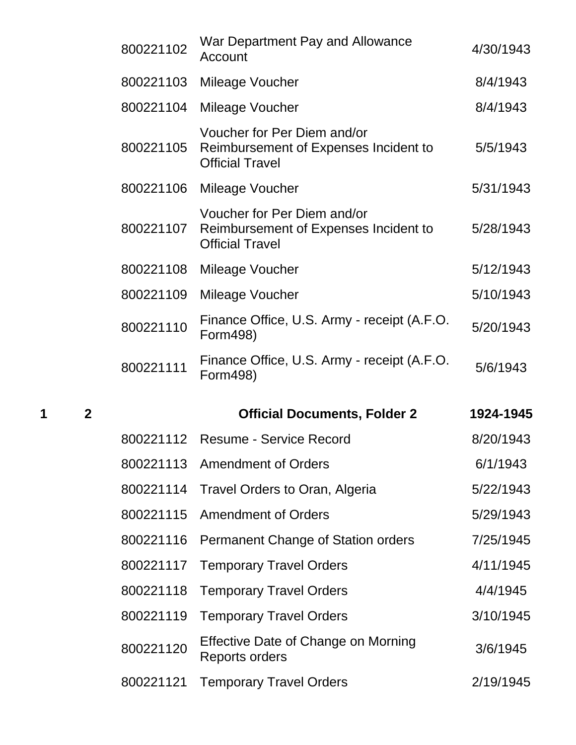| 800221102 | War Department Pay and Allowance<br>Account                                                    | 4/30/1943 |
|-----------|------------------------------------------------------------------------------------------------|-----------|
| 800221103 | Mileage Voucher                                                                                | 8/4/1943  |
| 800221104 | Mileage Voucher                                                                                | 8/4/1943  |
| 800221105 | Voucher for Per Diem and/or<br>Reimbursement of Expenses Incident to<br><b>Official Travel</b> | 5/5/1943  |
| 800221106 | Mileage Voucher                                                                                | 5/31/1943 |
| 800221107 | Voucher for Per Diem and/or<br>Reimbursement of Expenses Incident to<br><b>Official Travel</b> | 5/28/1943 |
| 800221108 | Mileage Voucher                                                                                | 5/12/1943 |
| 800221109 | Mileage Voucher                                                                                | 5/10/1943 |
| 800221110 | Finance Office, U.S. Army - receipt (A.F.O.<br>Form498)                                        | 5/20/1943 |
| 800221111 | Finance Office, U.S. Army - receipt (A.F.O.                                                    | 5/6/1943  |
|           | Form498)                                                                                       |           |
|           | <b>Official Documents, Folder 2</b>                                                            | 1924-1945 |
|           | 800221112 Resume - Service Record                                                              | 8/20/1943 |
| 800221113 | <b>Amendment of Orders</b>                                                                     | 6/1/1943  |
| 800221114 | Travel Orders to Oran, Algeria                                                                 | 5/22/1943 |
| 800221115 | <b>Amendment of Orders</b>                                                                     | 5/29/1943 |
| 800221116 | Permanent Change of Station orders                                                             | 7/25/1945 |
| 800221117 | <b>Temporary Travel Orders</b>                                                                 | 4/11/1945 |
| 800221118 | <b>Temporary Travel Orders</b>                                                                 | 4/4/1945  |
| 800221119 | <b>Temporary Travel Orders</b>                                                                 | 3/10/1945 |
| 800221120 | Effective Date of Change on Morning<br><b>Reports orders</b>                                   | 3/6/1945  |
| 800221121 | <b>Temporary Travel Orders</b>                                                                 | 2/19/1945 |

**1 2 Official Documents, Folder 2 1924-1945**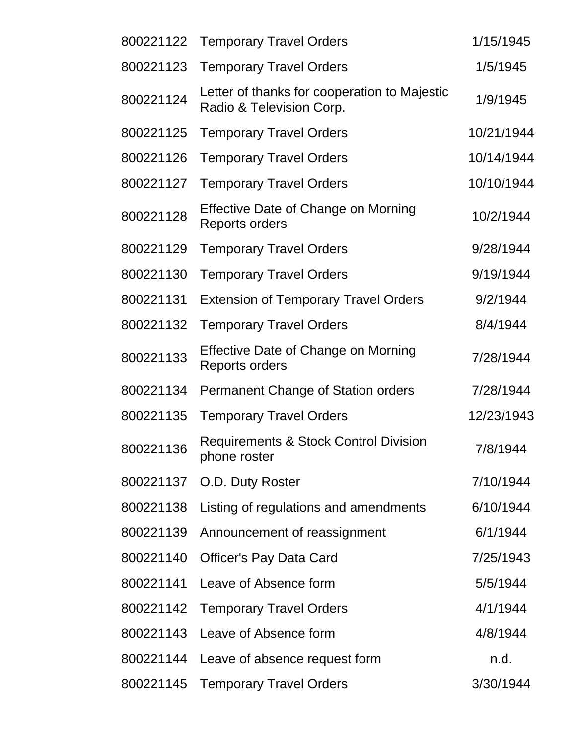| 800221122 | <b>Temporary Travel Orders</b>                                           | 1/15/1945  |
|-----------|--------------------------------------------------------------------------|------------|
| 800221123 | <b>Temporary Travel Orders</b>                                           | 1/5/1945   |
| 800221124 | Letter of thanks for cooperation to Majestic<br>Radio & Television Corp. | 1/9/1945   |
| 800221125 | <b>Temporary Travel Orders</b>                                           | 10/21/1944 |
| 800221126 | <b>Temporary Travel Orders</b>                                           | 10/14/1944 |
| 800221127 | <b>Temporary Travel Orders</b>                                           | 10/10/1944 |
| 800221128 | Effective Date of Change on Morning<br><b>Reports orders</b>             | 10/2/1944  |
| 800221129 | <b>Temporary Travel Orders</b>                                           | 9/28/1944  |
| 800221130 | <b>Temporary Travel Orders</b>                                           | 9/19/1944  |
| 800221131 | <b>Extension of Temporary Travel Orders</b>                              | 9/2/1944   |
| 800221132 | <b>Temporary Travel Orders</b>                                           | 8/4/1944   |
| 800221133 | Effective Date of Change on Morning<br><b>Reports orders</b>             | 7/28/1944  |
| 800221134 | Permanent Change of Station orders                                       | 7/28/1944  |
| 800221135 | <b>Temporary Travel Orders</b>                                           | 12/23/1943 |
| 800221136 | <b>Requirements &amp; Stock Control Division</b><br>phone roster         | 7/8/1944   |
| 800221137 | O.D. Duty Roster                                                         | 7/10/1944  |
| 800221138 | Listing of regulations and amendments                                    | 6/10/1944  |
| 800221139 | Announcement of reassignment                                             | 6/1/1944   |
| 800221140 | <b>Officer's Pay Data Card</b>                                           | 7/25/1943  |
| 800221141 | Leave of Absence form                                                    | 5/5/1944   |
| 800221142 | <b>Temporary Travel Orders</b>                                           | 4/1/1944   |
| 800221143 | Leave of Absence form                                                    | 4/8/1944   |
| 800221144 | Leave of absence request form                                            | n.d.       |
| 800221145 | <b>Temporary Travel Orders</b>                                           | 3/30/1944  |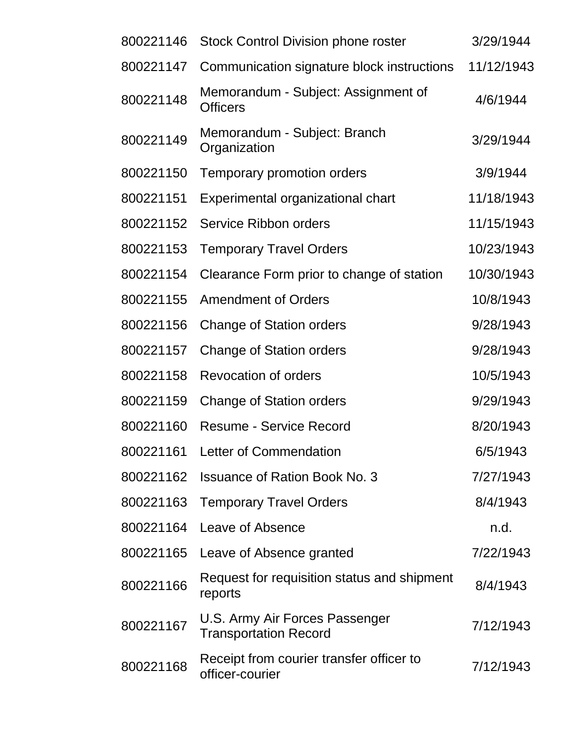| 800221146 | <b>Stock Control Division phone roster</b>                     | 3/29/1944  |
|-----------|----------------------------------------------------------------|------------|
| 800221147 | Communication signature block instructions                     | 11/12/1943 |
| 800221148 | Memorandum - Subject: Assignment of<br><b>Officers</b>         | 4/6/1944   |
| 800221149 | Memorandum - Subject: Branch<br>Organization                   | 3/29/1944  |
| 800221150 | Temporary promotion orders                                     | 3/9/1944   |
| 800221151 | Experimental organizational chart                              | 11/18/1943 |
| 800221152 | <b>Service Ribbon orders</b>                                   | 11/15/1943 |
| 800221153 | <b>Temporary Travel Orders</b>                                 | 10/23/1943 |
| 800221154 | Clearance Form prior to change of station                      | 10/30/1943 |
| 800221155 | <b>Amendment of Orders</b>                                     | 10/8/1943  |
| 800221156 | <b>Change of Station orders</b>                                | 9/28/1943  |
| 800221157 | <b>Change of Station orders</b>                                | 9/28/1943  |
| 800221158 | Revocation of orders                                           | 10/5/1943  |
| 800221159 | <b>Change of Station orders</b>                                | 9/29/1943  |
| 800221160 | <b>Resume - Service Record</b>                                 | 8/20/1943  |
| 800221161 | Letter of Commendation                                         | 6/5/1943   |
| 800221162 | <b>Issuance of Ration Book No. 3</b>                           | 7/27/1943  |
| 800221163 | <b>Temporary Travel Orders</b>                                 | 8/4/1943   |
| 800221164 | Leave of Absence                                               | n.d.       |
| 800221165 | Leave of Absence granted                                       | 7/22/1943  |
| 800221166 | Request for requisition status and shipment<br>reports         | 8/4/1943   |
| 800221167 | U.S. Army Air Forces Passenger<br><b>Transportation Record</b> | 7/12/1943  |
| 800221168 | Receipt from courier transfer officer to<br>officer-courier    | 7/12/1943  |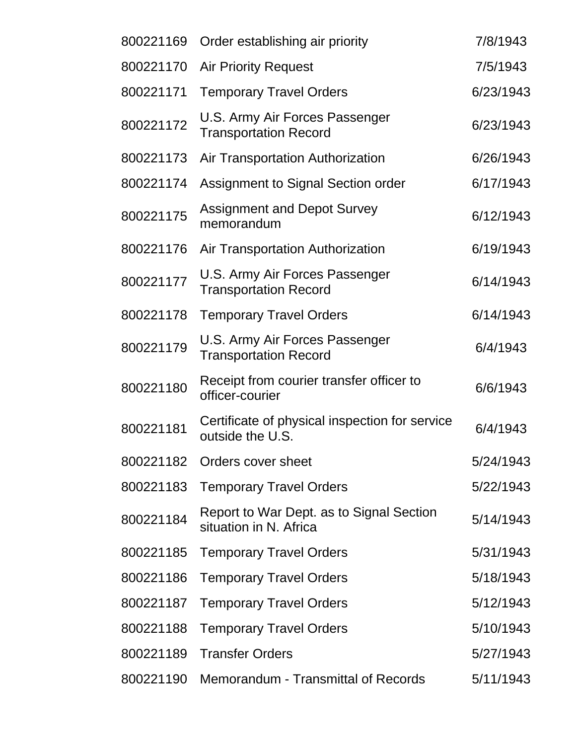| 800221169 | Order establishing air priority                                    | 7/8/1943  |
|-----------|--------------------------------------------------------------------|-----------|
| 800221170 | <b>Air Priority Request</b>                                        | 7/5/1943  |
| 800221171 | <b>Temporary Travel Orders</b>                                     | 6/23/1943 |
| 800221172 | U.S. Army Air Forces Passenger<br><b>Transportation Record</b>     | 6/23/1943 |
| 800221173 | Air Transportation Authorization                                   | 6/26/1943 |
| 800221174 | Assignment to Signal Section order                                 | 6/17/1943 |
| 800221175 | <b>Assignment and Depot Survey</b><br>memorandum                   | 6/12/1943 |
| 800221176 | Air Transportation Authorization                                   | 6/19/1943 |
| 800221177 | U.S. Army Air Forces Passenger<br><b>Transportation Record</b>     | 6/14/1943 |
| 800221178 | <b>Temporary Travel Orders</b>                                     | 6/14/1943 |
| 800221179 | U.S. Army Air Forces Passenger<br><b>Transportation Record</b>     | 6/4/1943  |
| 800221180 | Receipt from courier transfer officer to<br>officer-courier        | 6/6/1943  |
| 800221181 | Certificate of physical inspection for service<br>outside the U.S. | 6/4/1943  |
|           | 800221182 Orders cover sheet                                       | 5/24/1943 |
| 800221183 | <b>Temporary Travel Orders</b>                                     | 5/22/1943 |
| 800221184 | Report to War Dept. as to Signal Section<br>situation in N. Africa | 5/14/1943 |
| 800221185 | <b>Temporary Travel Orders</b>                                     | 5/31/1943 |
| 800221186 | <b>Temporary Travel Orders</b>                                     | 5/18/1943 |
| 800221187 | <b>Temporary Travel Orders</b>                                     | 5/12/1943 |
| 800221188 | <b>Temporary Travel Orders</b>                                     | 5/10/1943 |
| 800221189 | <b>Transfer Orders</b>                                             | 5/27/1943 |
| 800221190 | Memorandum - Transmittal of Records                                | 5/11/1943 |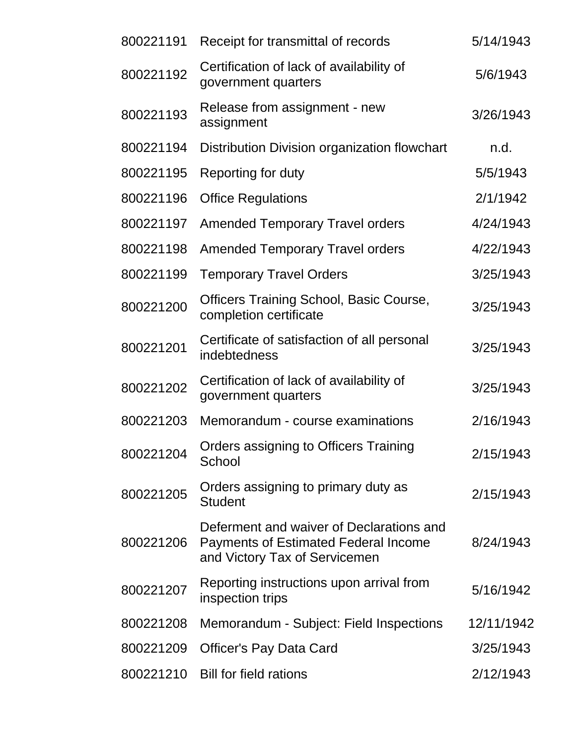| 800221191 | Receipt for transmittal of records                                                                                       | 5/14/1943  |
|-----------|--------------------------------------------------------------------------------------------------------------------------|------------|
| 800221192 | Certification of lack of availability of<br>government quarters                                                          | 5/6/1943   |
| 800221193 | Release from assignment - new<br>assignment                                                                              | 3/26/1943  |
| 800221194 | Distribution Division organization flowchart                                                                             | n.d.       |
| 800221195 | Reporting for duty                                                                                                       | 5/5/1943   |
| 800221196 | <b>Office Regulations</b>                                                                                                | 2/1/1942   |
| 800221197 | <b>Amended Temporary Travel orders</b>                                                                                   | 4/24/1943  |
| 800221198 | <b>Amended Temporary Travel orders</b>                                                                                   | 4/22/1943  |
| 800221199 | <b>Temporary Travel Orders</b>                                                                                           | 3/25/1943  |
| 800221200 | <b>Officers Training School, Basic Course,</b><br>completion certificate                                                 | 3/25/1943  |
| 800221201 | Certificate of satisfaction of all personal<br>indebtedness                                                              | 3/25/1943  |
| 800221202 | Certification of lack of availability of<br>government quarters                                                          | 3/25/1943  |
| 800221203 | Memorandum - course examinations                                                                                         | 2/16/1943  |
| 800221204 | Orders assigning to Officers Training<br>School                                                                          | 2/15/1943  |
| 800221205 | Orders assigning to primary duty as<br><b>Student</b>                                                                    | 2/15/1943  |
| 800221206 | Deferment and waiver of Declarations and<br><b>Payments of Estimated Federal Income</b><br>and Victory Tax of Servicemen | 8/24/1943  |
| 800221207 | Reporting instructions upon arrival from<br>inspection trips                                                             | 5/16/1942  |
| 800221208 | Memorandum - Subject: Field Inspections                                                                                  | 12/11/1942 |
| 800221209 | <b>Officer's Pay Data Card</b>                                                                                           | 3/25/1943  |
| 800221210 | <b>Bill for field rations</b>                                                                                            | 2/12/1943  |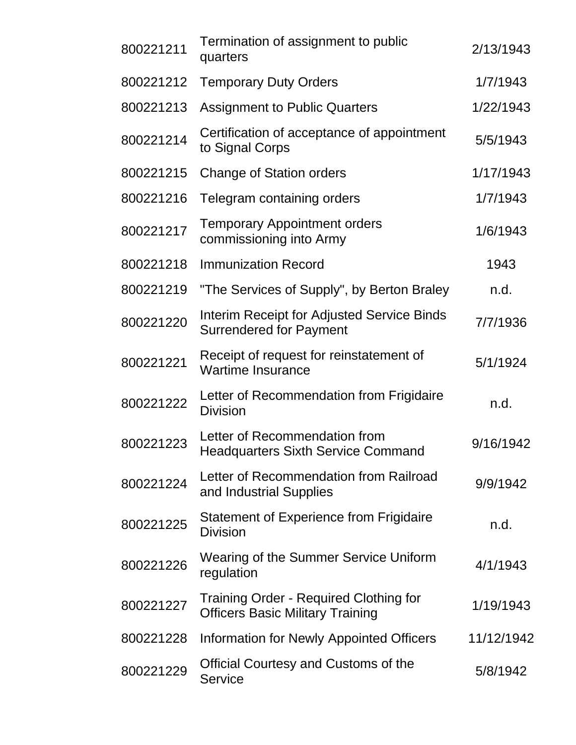| 800221211 | Termination of assignment to public<br>quarters                                   | 2/13/1943  |
|-----------|-----------------------------------------------------------------------------------|------------|
| 800221212 | <b>Temporary Duty Orders</b>                                                      | 1/7/1943   |
| 800221213 | <b>Assignment to Public Quarters</b>                                              | 1/22/1943  |
| 800221214 | Certification of acceptance of appointment<br>to Signal Corps                     | 5/5/1943   |
| 800221215 | <b>Change of Station orders</b>                                                   | 1/17/1943  |
| 800221216 | Telegram containing orders                                                        | 1/7/1943   |
| 800221217 | <b>Temporary Appointment orders</b><br>commissioning into Army                    | 1/6/1943   |
| 800221218 | <b>Immunization Record</b>                                                        | 1943       |
| 800221219 | "The Services of Supply", by Berton Braley                                        | n.d.       |
| 800221220 | Interim Receipt for Adjusted Service Binds<br><b>Surrendered for Payment</b>      | 7/7/1936   |
| 800221221 | Receipt of request for reinstatement of<br><b>Wartime Insurance</b>               | 5/1/1924   |
| 800221222 | Letter of Recommendation from Frigidaire<br><b>Division</b>                       | n.d.       |
| 800221223 | Letter of Recommendation from<br><b>Headquarters Sixth Service Command</b>        | 9/16/1942  |
| 800221224 | Letter of Recommendation from Railroad<br>and Industrial Supplies                 | 9/9/1942   |
| 800221225 | <b>Statement of Experience from Frigidaire</b><br><b>Division</b>                 | n.d.       |
| 800221226 | Wearing of the Summer Service Uniform<br>regulation                               | 4/1/1943   |
| 800221227 | Training Order - Required Clothing for<br><b>Officers Basic Military Training</b> | 1/19/1943  |
| 800221228 | Information for Newly Appointed Officers                                          | 11/12/1942 |
| 800221229 | <b>Official Courtesy and Customs of the</b><br><b>Service</b>                     | 5/8/1942   |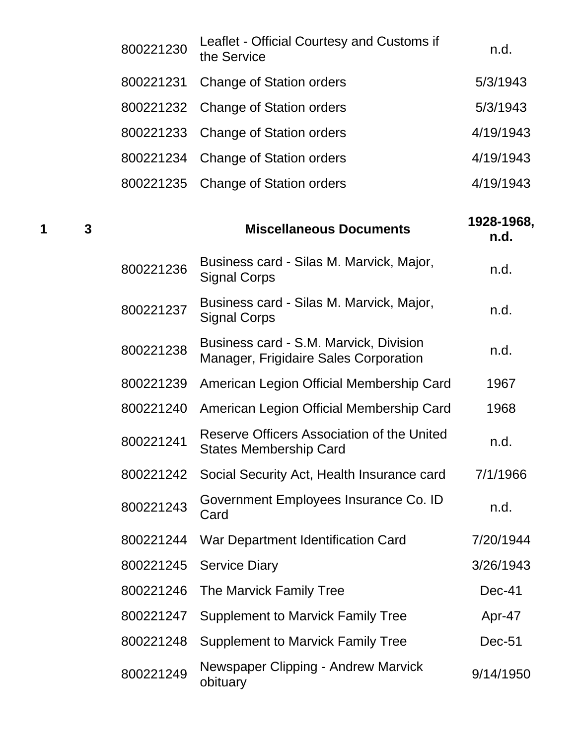|   |   | 800221236 | Business card - Silas M. Marvick, Major,<br><b>Signal Corps</b> | n.d.               |
|---|---|-----------|-----------------------------------------------------------------|--------------------|
| 1 | 3 |           | <b>Miscellaneous Documents</b>                                  | 1928-1968,<br>n.d. |
|   |   |           | 800221235 Change of Station orders                              | 4/19/1943          |
|   |   | 800221234 | <b>Change of Station orders</b>                                 | 4/19/1943          |
|   |   |           | 800221233 Change of Station orders                              | 4/19/1943          |
|   |   |           | 800221232 Change of Station orders                              | 5/3/1943           |
|   |   | 800221231 | <b>Change of Station orders</b>                                 | 5/3/1943           |
|   |   | 800221230 | Leaflet - Official Courtesy and Customs if<br>the Service       | n.d.               |

| 800221237 | Business card - Silas M. Marvick, Major,<br><b>Signal Corps</b>                 | n.d.      |
|-----------|---------------------------------------------------------------------------------|-----------|
| 800221238 | Business card - S.M. Marvick, Division<br>Manager, Frigidaire Sales Corporation | n.d.      |
| 800221239 | American Legion Official Membership Card                                        | 1967      |
| 800221240 | American Legion Official Membership Card                                        | 1968      |
| 800221241 | Reserve Officers Association of the United<br><b>States Membership Card</b>     | n.d.      |
| 800221242 | Social Security Act, Health Insurance card                                      | 7/1/1966  |
| 800221243 | Government Employees Insurance Co. ID<br>Card                                   | n.d.      |
| 800221244 | War Department Identification Card                                              | 7/20/1944 |
| 800221245 | <b>Service Diary</b>                                                            | 3/26/1943 |
| 800221246 | The Marvick Family Tree                                                         | Dec-41    |
| 800221247 | <b>Supplement to Marvick Family Tree</b>                                        | Apr-47    |
| 800221248 | <b>Supplement to Marvick Family Tree</b>                                        | Dec-51    |
| 800221249 | Newspaper Clipping - Andrew Marvick<br><u>_____</u> ___                         | 9/14/1950 |

 $\frac{1}{2}$  9/14/1950<br>obituary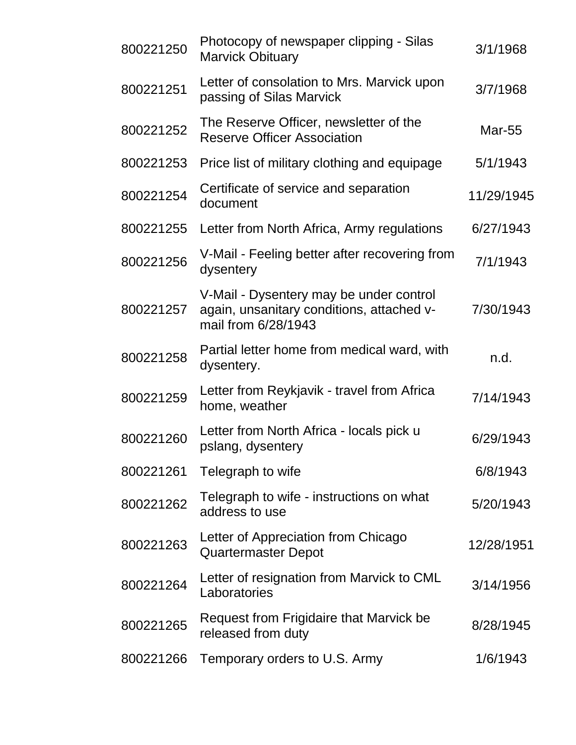| 800221250 | Photocopy of newspaper clipping - Silas<br><b>Marvick Obituary</b>                                          | 3/1/1968      |
|-----------|-------------------------------------------------------------------------------------------------------------|---------------|
| 800221251 | Letter of consolation to Mrs. Marvick upon<br>passing of Silas Marvick                                      | 3/7/1968      |
| 800221252 | The Reserve Officer, newsletter of the<br><b>Reserve Officer Association</b>                                | <b>Mar-55</b> |
| 800221253 | Price list of military clothing and equipage                                                                | 5/1/1943      |
| 800221254 | Certificate of service and separation<br>document                                                           | 11/29/1945    |
| 800221255 | Letter from North Africa, Army regulations                                                                  | 6/27/1943     |
| 800221256 | V-Mail - Feeling better after recovering from<br>dysentery                                                  | 7/1/1943      |
| 800221257 | V-Mail - Dysentery may be under control<br>again, unsanitary conditions, attached v-<br>mail from 6/28/1943 | 7/30/1943     |
| 800221258 | Partial letter home from medical ward, with<br>dysentery.                                                   | n.d.          |
| 800221259 | Letter from Reykjavik - travel from Africa<br>home, weather                                                 | 7/14/1943     |
| 800221260 | Letter from North Africa - locals pick u<br>pslang, dysentery                                               | 6/29/1943     |
| 800221261 | Telegraph to wife                                                                                           | 6/8/1943      |
| 800221262 | Telegraph to wife - instructions on what<br>address to use                                                  | 5/20/1943     |
| 800221263 | Letter of Appreciation from Chicago<br><b>Quartermaster Depot</b>                                           | 12/28/1951    |
| 800221264 | Letter of resignation from Marvick to CML<br>Laboratories                                                   | 3/14/1956     |
| 800221265 | Request from Frigidaire that Marvick be<br>released from duty                                               | 8/28/1945     |
| 800221266 | Temporary orders to U.S. Army                                                                               | 1/6/1943      |
|           |                                                                                                             |               |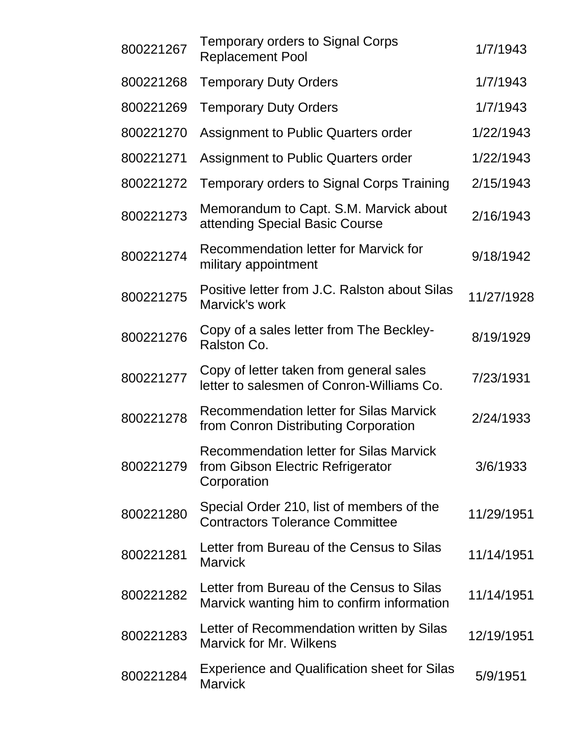| 800221267 | <b>Temporary orders to Signal Corps</b><br><b>Replacement Pool</b>                          | 1/7/1943   |
|-----------|---------------------------------------------------------------------------------------------|------------|
| 800221268 | <b>Temporary Duty Orders</b>                                                                | 1/7/1943   |
| 800221269 | <b>Temporary Duty Orders</b>                                                                | 1/7/1943   |
| 800221270 | Assignment to Public Quarters order                                                         | 1/22/1943  |
| 800221271 | Assignment to Public Quarters order                                                         | 1/22/1943  |
| 800221272 | Temporary orders to Signal Corps Training                                                   | 2/15/1943  |
| 800221273 | Memorandum to Capt. S.M. Marvick about<br>attending Special Basic Course                    | 2/16/1943  |
| 800221274 | <b>Recommendation letter for Marvick for</b><br>military appointment                        | 9/18/1942  |
| 800221275 | Positive letter from J.C. Ralston about Silas<br>Marvick's work                             | 11/27/1928 |
| 800221276 | Copy of a sales letter from The Beckley-<br>Ralston Co.                                     | 8/19/1929  |
| 800221277 | Copy of letter taken from general sales<br>letter to salesmen of Conron-Williams Co.        | 7/23/1931  |
| 800221278 | <b>Recommendation letter for Silas Marvick</b><br>from Conron Distributing Corporation      | 2/24/1933  |
| 800221279 | Recommendation letter for Silas Marvick<br>from Gibson Electric Refrigerator<br>Corporation | 3/6/1933   |
| 800221280 | Special Order 210, list of members of the<br><b>Contractors Tolerance Committee</b>         | 11/29/1951 |
| 800221281 | Letter from Bureau of the Census to Silas<br><b>Marvick</b>                                 | 11/14/1951 |
| 800221282 | Letter from Bureau of the Census to Silas<br>Marvick wanting him to confirm information     | 11/14/1951 |
| 800221283 | Letter of Recommendation written by Silas<br><b>Marvick for Mr. Wilkens</b>                 | 12/19/1951 |
| 800221284 | <b>Experience and Qualification sheet for Silas</b><br><b>Marvick</b>                       | 5/9/1951   |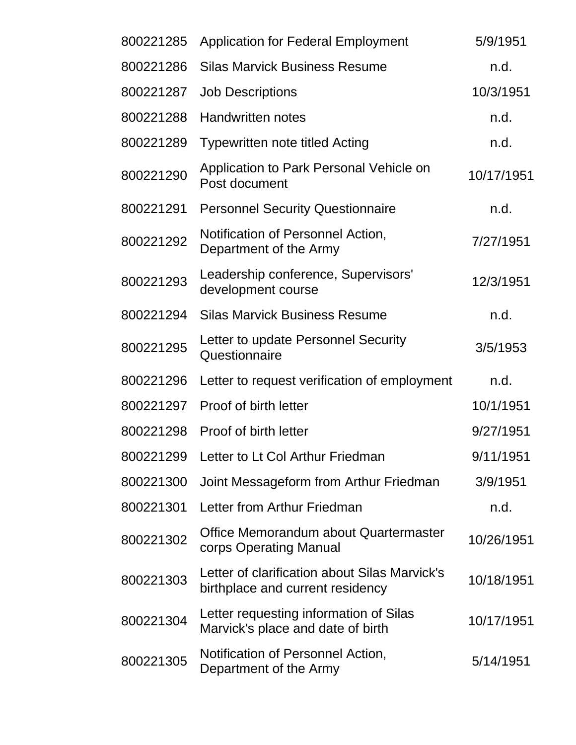| 800221285 | <b>Application for Federal Employment</b>                                         | 5/9/1951   |
|-----------|-----------------------------------------------------------------------------------|------------|
| 800221286 | <b>Silas Marvick Business Resume</b>                                              | n.d.       |
| 800221287 | <b>Job Descriptions</b>                                                           | 10/3/1951  |
| 800221288 | <b>Handwritten notes</b>                                                          | n.d.       |
| 800221289 | <b>Typewritten note titled Acting</b>                                             | n.d.       |
| 800221290 | Application to Park Personal Vehicle on<br>Post document                          | 10/17/1951 |
| 800221291 | <b>Personnel Security Questionnaire</b>                                           | n.d.       |
| 800221292 | Notification of Personnel Action,<br>Department of the Army                       | 7/27/1951  |
| 800221293 | Leadership conference, Supervisors'<br>development course                         | 12/3/1951  |
| 800221294 | <b>Silas Marvick Business Resume</b>                                              | n.d.       |
| 800221295 | Letter to update Personnel Security<br>Questionnaire                              | 3/5/1953   |
| 800221296 | Letter to request verification of employment                                      | n.d.       |
| 800221297 | Proof of birth letter                                                             | 10/1/1951  |
| 800221298 | Proof of birth letter                                                             | 9/27/1951  |
|           | 800221299 Letter to Lt Col Arthur Friedman                                        | 9/11/1951  |
| 800221300 | Joint Messageform from Arthur Friedman                                            | 3/9/1951   |
| 800221301 | Letter from Arthur Friedman                                                       | n.d.       |
| 800221302 | Office Memorandum about Quartermaster<br>corps Operating Manual                   | 10/26/1951 |
| 800221303 | Letter of clarification about Silas Marvick's<br>birthplace and current residency | 10/18/1951 |
| 800221304 | Letter requesting information of Silas<br>Marvick's place and date of birth       | 10/17/1951 |
| 800221305 | Notification of Personnel Action,<br>Department of the Army                       | 5/14/1951  |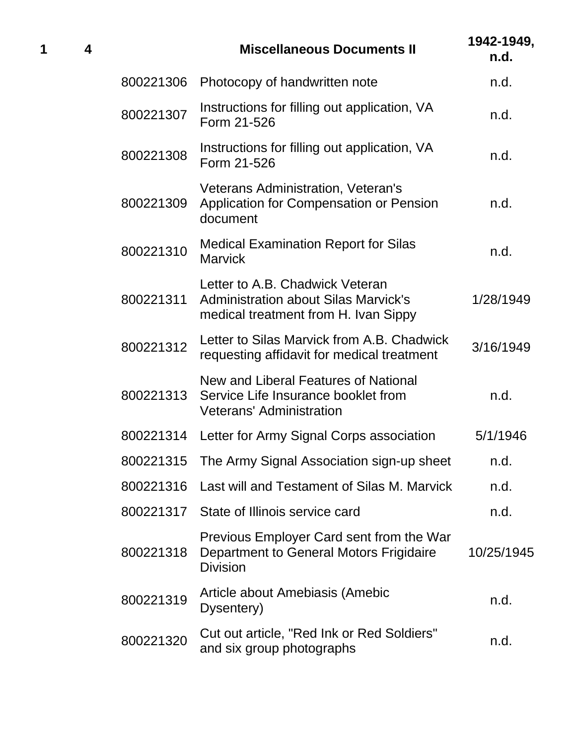| 1 | 4 |           | <b>Miscellaneous Documents II</b>                                                                                      | 1942-1949,<br>n.d. |
|---|---|-----------|------------------------------------------------------------------------------------------------------------------------|--------------------|
|   |   | 800221306 | Photocopy of handwritten note                                                                                          | n.d.               |
|   |   | 800221307 | Instructions for filling out application, VA<br>Form 21-526                                                            | n.d.               |
|   |   | 800221308 | Instructions for filling out application, VA<br>Form 21-526                                                            | n.d.               |
|   |   | 800221309 | Veterans Administration, Veteran's<br>Application for Compensation or Pension<br>document                              | n.d.               |
|   |   | 800221310 | <b>Medical Examination Report for Silas</b><br><b>Marvick</b>                                                          | n.d.               |
|   |   | 800221311 | Letter to A.B. Chadwick Veteran<br><b>Administration about Silas Marvick's</b><br>medical treatment from H. Ivan Sippy | 1/28/1949          |
|   |   | 800221312 | Letter to Silas Marvick from A.B. Chadwick<br>requesting affidavit for medical treatment                               | 3/16/1949          |
|   |   | 800221313 | New and Liberal Features of National<br>Service Life Insurance booklet from<br><b>Veterans' Administration</b>         | n.d.               |
|   |   | 800221314 | Letter for Army Signal Corps association                                                                               | 5/1/1946           |
|   |   | 800221315 | The Army Signal Association sign-up sheet                                                                              | n.d.               |
|   |   | 800221316 | Last will and Testament of Silas M. Marvick                                                                            | n.d.               |
|   |   | 800221317 | State of Illinois service card                                                                                         | n.d.               |
|   |   | 800221318 | Previous Employer Card sent from the War<br>Department to General Motors Frigidaire<br><b>Division</b>                 | 10/25/1945         |
|   |   | 800221319 | Article about Amebiasis (Amebic<br>Dysentery)                                                                          | n.d.               |
|   |   | 800221320 | Cut out article, "Red Ink or Red Soldiers"<br>and six group photographs                                                | n.d.               |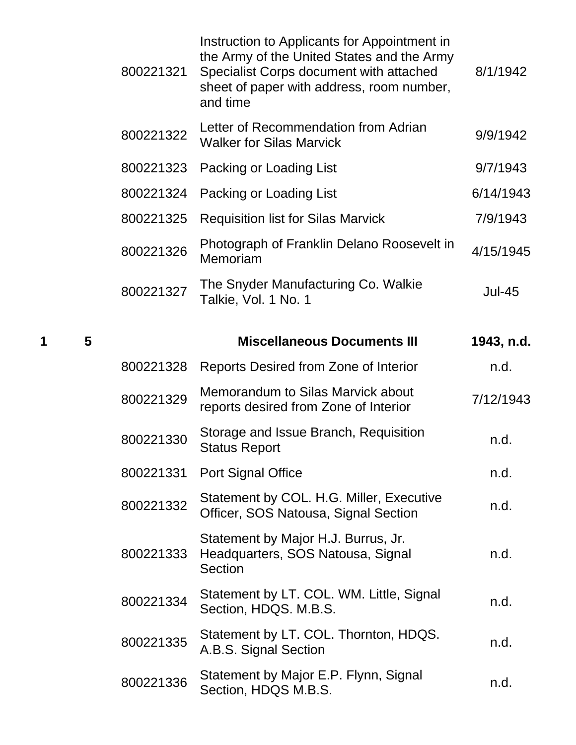|   |   | 800221321 | Instruction to Applicants for Appointment in<br>the Army of the United States and the Army       | 8/1/1942      |
|---|---|-----------|--------------------------------------------------------------------------------------------------|---------------|
|   |   |           | Specialist Corps document with attached<br>sheet of paper with address, room number,<br>and time |               |
|   |   | 800221322 | Letter of Recommendation from Adrian<br><b>Walker for Silas Marvick</b>                          | 9/9/1942      |
|   |   | 800221323 | Packing or Loading List                                                                          | 9/7/1943      |
|   |   | 800221324 | Packing or Loading List                                                                          | 6/14/1943     |
|   |   | 800221325 | <b>Requisition list for Silas Marvick</b>                                                        | 7/9/1943      |
|   |   | 800221326 | Photograph of Franklin Delano Roosevelt in<br>Memoriam                                           | 4/15/1945     |
|   |   | 800221327 | The Snyder Manufacturing Co. Walkie<br>Talkie, Vol. 1 No. 1                                      | <b>Jul-45</b> |
| 1 | 5 |           | <b>Miscellaneous Documents III</b>                                                               | 1943, n.d.    |
|   |   | 800221328 | Reports Desired from Zone of Interior                                                            | n.d.          |
|   |   |           |                                                                                                  |               |
|   |   | 800221329 | Memorandum to Silas Marvick about<br>reports desired from Zone of Interior                       | 7/12/1943     |
|   |   | 800221330 | Storage and Issue Branch, Requisition<br><b>Status Report</b>                                    | n.d.          |
|   |   | 800221331 | <b>Port Signal Office</b>                                                                        | n.d.          |
|   |   | 800221332 | Statement by COL. H.G. Miller, Executive<br>Officer, SOS Natousa, Signal Section                 | n.d.          |

- 800221333 Headquarters, SOS Natousa, Signal Statement by Major H.J. Burrus, Jr. **Section** n.d. <sup>800221334</sup> Statement by LT. COL. WM. Little, Signal Statement by ET. OOE: WW. Ettile, Olghai h.d.<br>Section, HDQS. M.B.S.
- 800221335 Statement by LT. COL. Thornton, HDQS. Statement by ET. OOE. Moment, ITDQO.<br>A.B.S. Signal Section
- <sup>800221336</sup> Statement by Major E.P. Flynn, Signal Section, HDQS M.B.S. example the state of the product of the product of the product of the product of the product of the product of the product of the product of the product of the product of the product of the product of